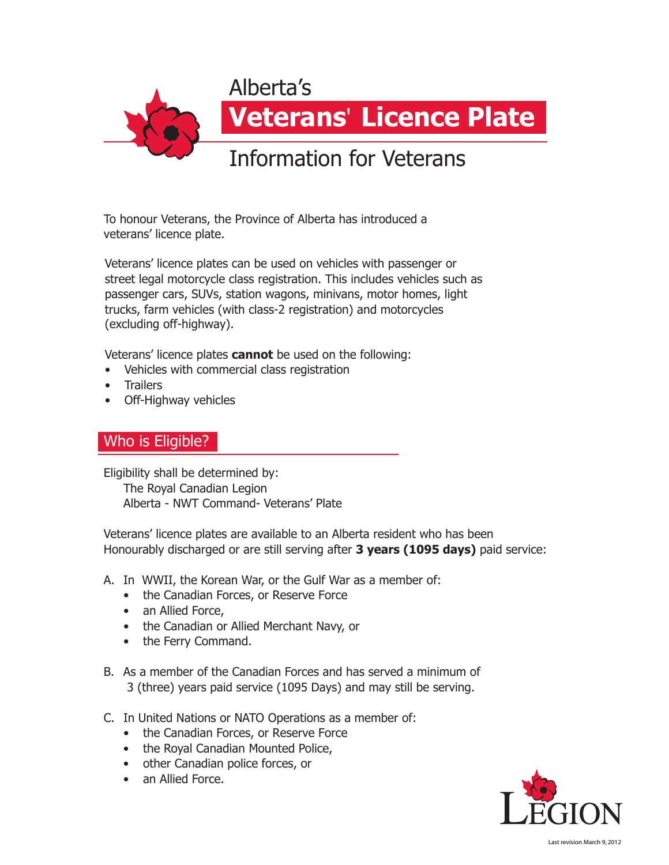

To honour Veterans, the Province of Alberta has introduced a veterans' licence plate.

Veterans' licence plates can be used on vehicles with passenger or street legal motorcycle class registration. This includes vehicles such as passenger cars, SUVs, station wagons, minivans, motor homes, light trucks, farm vehicles (with class-2 registration) and motorcycles (excluding off-highway).

Veterans' licence plates **cannot** be used on the following:

- Vehicles with commercial class registration
- Trailers
- Off-Highway vehicles

# Who is Eligible?

Eligibility shall be determined by: The Royal Canadian Legion Alberta - NWT Command- Veterans' Plate

Veterans' licence plates are available to an Alberta resident who has been Honourably discharged or are still serving after **3 years (1095 days)** paid service:

- A. In WWII, the Korean War, or the Gulf War as a member of:
	- the Canadian Forces, or Reserve Force
	- an Allied Force,
	- the Canadian or Allied Merchant Navy, or
	- the Ferry Command.
- B. As a member of the Canadian Forces and has served a minimum of 3 (three) years paid service (1095 Days) and may still be serving.
- C. In United Nations or NATO Operations as a member of:
	- the Canadian Forces, or Reserve Force
	- the Royal Canadian Mounted Police,
	- other Canadian police forces, or
	- an Allied Force.